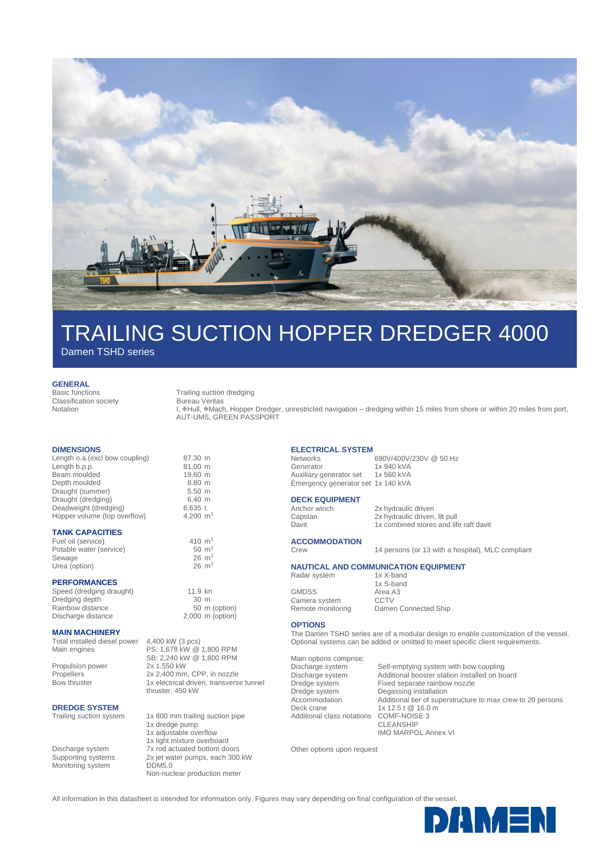

# TRAILING SUCTION HOPPER DREDGER 4000

Damen TSHD series

**GENERAL**

Classification society Notation

Basic functions Trailing suction dredging

Bureau Veritas

I, &Hull, &Mach, Hopper Dredger, unrestricted navigation – dredging within 15 miles from shore or within 20 miles from port, AUT-UMS, GREEN PASSPORT

### **DIMENSIONS**

| Length o.a. (excl bow coupling) | 87.30 m              |  |
|---------------------------------|----------------------|--|
| Length b.p.p.                   | 81.00 m              |  |
| Beam moulded                    | 19.60 m              |  |
| Depth moulded                   | 8.80 m               |  |
| Draught (summer)                | $5.50$ m             |  |
| Draught (dredging)              | $6.40 \; m$          |  |
| Deadweight (dredging)           | $6,635$ t            |  |
| Hopper volume (top overflow)    | 4,200 m <sup>3</sup> |  |

### **TANK CAPACITIES**

Fuel oil (service)  $410 \text{ m}^3$ <br>Potable water (service)  $50 \text{ m}^3$ Potable water (service) 50 m<sup>3</sup><br>Sewage 26 m<sup>3</sup> Sewage 26 m<sup>3</sup><br>
Urea (option) 26 m<sup>3</sup><br>
26 m<sup>3</sup> Urea (option)

## **PERFORMANCES**

Speed (dredging draught) 11.9 kn<br>Dredging depth 10 m Dredging depth 30 m<br>Rainbow distance 50 m (option) Rainbow distance Discharge distance 2,000 m (option)

### **MAIN MACHINERY**

Total installed diesel power 4,400 kW (3 pcs)<br>Main engines PS: 1,678 kW @ Propulsion power

PS: 1,678 kW @ 1,800 RPM SB: 2,240 kW @ 1,800 RPM<br>2x 1,550 kW Propellers 2x 2,400 mm, CPP, in nozzle Bow thruster 1x electrical driven, transverse tunnel

# **DREDGE SYSTEM**<br>Trailing suction system

Monitoring system DDM5.0

 $,200 \text{ m}^3$ 

thruster, 450 kW

1x 800 mm trailing suction pipe 1x dredge pump 1x adjustable overflow 1x light mixture overboard Discharge system 7x rod actuated bottom doors Supporting systems 2x jet water pumps, each 300 kW Non-nuclear production meter

# **ELECTRICAL SYSTEM**

Networks 690V/400V/230V @ 50 Hz<br>Generator 1x 940 kVA 1x 940 kVA<br>1x 560 kVA Auxiliary generator set Emergency generator set 1x 140 kVA

# **DECK EQUIPMENT**<br>Anchor winch

Anchor winch 2x hydraulic driven<br>
Capstan 2x hydraulic driven Capstan 2x hydraulic driven, 8t pull<br>
Davit 1x combined stores and life 1x combined stores and life raft davit

**ACCOMMODATION**

# Crew 14 persons (or 13 with a hospital), MLC compliant

#### **NAUTICAL AND COMMUNICATION EQUIPMENT**<br>Radar system 1x X-band Radar system

GMDSS Area A3<br>Camera system CCTV Camera system<br>Remote monitoring

1x S-band Damen Connected Ship

### **OPTIONS**

The Damen TSHD series are of a modular design to enable customization of the vessel. Optional systems can be added or omitted to meet specific client requirements.

Main options comprise:<br>Discharge system Discharge system Self-emptying system with bow coupling<br>Discharge system Additional booster station installed on bo Discharge system Additional booster station installed on board Dredge system Fixed separate rainbow nozzle<br>Dredge system Degassing installation Degassing installation Deck crane 1x 12.5 t @ 16.0 m Additional class notations COMF-NOISE 3 CLEANSHIP

Accommodation Additional tier of superstructure to max crew to 20 persons IMO MARPOL Annex VI

Other options upon request

All information in this datasheet is intended for information only. Figures may vary depending on final configuration of the vessel.